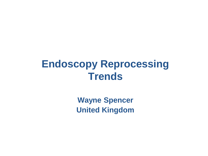#### **Endoscopy Reprocessing Trends**

**Wayne Spencer United Kingdom**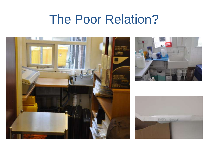# The Poor Relation?





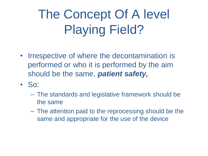# The Concept Of A level Playing Field?

- Irrespective of where the decontamination is performed or who it is performed by the aim should be the same, *patient safety,*
- So:
	- The standards and legislative framework should be the same
	- The attention paid to the reprocessing should be the same and appropriate for the use of the device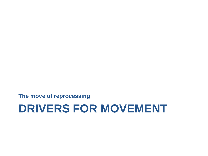**The move of reprocessing** 

#### **DRIVERS FOR MOVEMENT**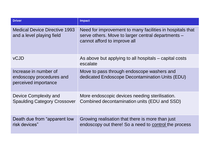| <b>Driver</b>                                                             | <b>Impact</b>                                                                                                                                   |
|---------------------------------------------------------------------------|-------------------------------------------------------------------------------------------------------------------------------------------------|
| <b>Medical Device Directive 1993</b><br>and a level playing field         | Need for improvement to many facilities in hospitals that<br>serve others. Move to larger central departments –<br>cannot afford to improve all |
| <b>vCJD</b>                                                               | As above but applying to all hospitals – capital costs<br>escalate                                                                              |
| Increase in number of<br>endoscopy procedures and<br>perceived importance | Move to pass through endoscope washers and<br>dedicated Endoscope Decontamination Units (EDU)                                                   |
| Device Complexity and<br><b>Spaulding Category Crossover</b>              | More endoscopic devices needing sterilisation.<br>Combined decontamination units (EDU and SSD)                                                  |
| Death due from "apparent low"<br>risk devices"                            | Growing realisation that there is more than just<br>endoscopy out there! So a need to control the process                                       |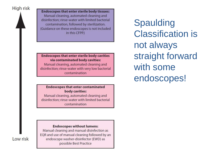High risk

**Endoscopes that enter sterile body tissues:** Manual cleaning, automated cleaning and disinfection: rinse-water with limited bacterial contamination, followed by sterilization. (Guidance on these endoscopes is not included in this CFPP.)

#### **Endoscopes that enter sterile body cavities** via contaminated body cavities:

Manual cleaning, automated cleaning and disinfection; rinse-water with very low bacterial contamination

#### **Endoscopes that enter contaminated** body cavities:

Manual cleaning, automated cleaning and disinfection; rinse-water with limited bacterial contamination

#### **Endoscopes without lumens:**

Manual cleaning and manual disinfection as EQR and use of manual cleaning followed by an endoscope washer-disinfector (EWD) as possible Best Practice

Spaulding Classification is not always straight forward with some endoscopes!

Low risk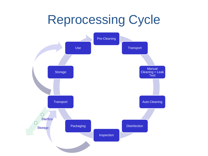## Reprocessing Cycle

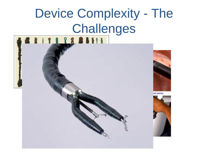# Device Complexity - The Challenges

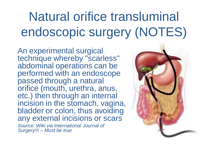# Natural orifice transluminal endoscopic surgery (NOTES)

An experimental surgical technique whereby "scarless" abdominal operations can be performed with an endoscope passed through a natural orifice (mouth, urethra, anus, etc.) then through an internal incision in the stomach, vagina, bladder or colon, thus avoiding any external incisions or scars *Source: Wiki via International Journal of Surgery!!! – Must be true*

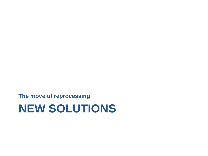**The move of reprocessing** 

#### **NEW SOLUTIONS**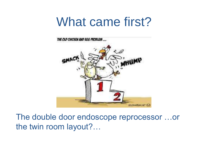### What came first?



The double door endoscope reprocessor …or the twin room layout?…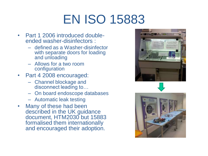# EN ISO 15883

- Part 1 2006 introduced doubleended washer-disinfectors :
	- defined as a Washer-disinfector with separate doors for loading and unloading
	- Allows for a two room configuration
- Part 4 2008 encouraged:
	- Channel blockage and disconnect leading to…
	- On board endoscope databases
	- Automatic leak testing
- Many of these had been described in the UK guidance document, HTM2030 but 15883 formalised them internationally and encouraged their adoption.





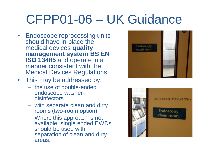# CFPP01-06 – UK Guidance

- Endoscope reprocessing units should have in place the medical devices **quality management system BS EN ISO 13485** and operate in a manner consistent with the Medical Devices Regulations.
- This may be addressed by:
	- the use of double-ended endoscope washerdisinfectors
	- with separate clean and dirty rooms (two-room option).
	- Where this approach is not available, single ended EWDs should be used with separation of clean and dirty areas.



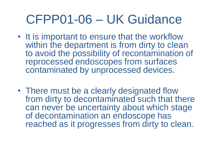### CFPP01-06 – UK Guidance

- It is important to ensure that the workflow within the department is from dirty to clean to avoid the possibility of recontamination of reprocessed endoscopes from surfaces contaminated by unprocessed devices.
- There must be a clearly designated flow from dirty to decontaminated such that there can never be uncertainty about which stage of decontamination an endoscope has reached as it progresses from dirty to clean.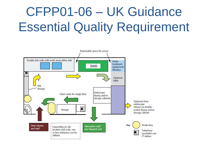# CFPP01-06 – UK Guidance Essential Quality Requirement

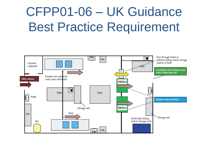# CFPP01-06 – UK Guidance Best Practice Requirement

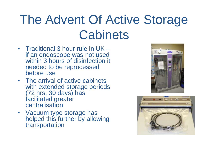# The Advent Of Active Storage **Cabinets**

- Traditional 3 hour rule in UK if an endoscope was not used within 3 hours of disinfection it needed to be reprocessed before use
- The arrival of active cabinets with extended storage periods (72 hrs, 30 days) has facilitated greater **centralisation**
- Vacuum type storage has helped this further by allowing transportation



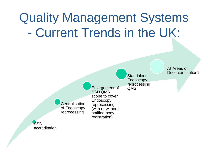# Quality Management Systems - Current Trends in the UK:

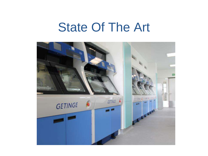#### State Of The Art

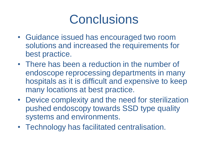# **Conclusions**

- Guidance issued has encouraged two room solutions and increased the requirements for best practice.
- There has been a reduction in the number of endoscope reprocessing departments in many hospitals as it is difficult and expensive to keep many locations at best practice.
- Device complexity and the need for sterilization pushed endoscopy towards SSD type quality systems and environments.
- Technology has facilitated centralisation.